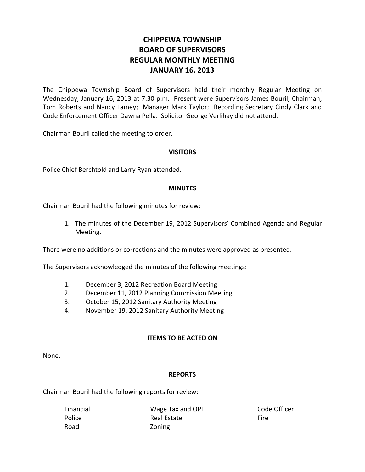# **CHIPPEWA TOWNSHIP BOARD OF SUPERVISORS REGULAR MONTHLY MEETING JANUARY 16, 2013**

The Chippewa Township Board of Supervisors held their monthly Regular Meeting on Wednesday, January 16, 2013 at 7:30 p.m. Present were Supervisors James Bouril, Chairman, Tom Roberts and Nancy Lamey; Manager Mark Taylor; Recording Secretary Cindy Clark and Code Enforcement Officer Dawna Pella. Solicitor George Verlihay did not attend.

Chairman Bouril called the meeting to order.

## **VISITORS**

Police Chief Berchtold and Larry Ryan attended.

#### **MINUTES**

Chairman Bouril had the following minutes for review:

1. The minutes of the December 19, 2012 Supervisors' Combined Agenda and Regular Meeting.

There were no additions or corrections and the minutes were approved as presented.

The Supervisors acknowledged the minutes of the following meetings:

- 1. December 3, 2012 Recreation Board Meeting
- 2. December 11, 2012 Planning Commission Meeting
- 3. October 15, 2012 Sanitary Authority Meeting
- 4. November 19, 2012 Sanitary Authority Meeting

#### **ITEMS TO BE ACTED ON**

None.

#### **REPORTS**

Chairman Bouril had the following reports for review:

| Financial | Wage Tax and OPT | Code Officer |
|-----------|------------------|--------------|
| Police    | Real Estate      | Fire.        |
| Road      | Zoning           |              |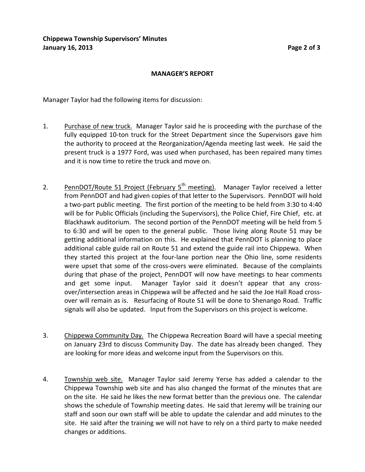#### **MANAGER'S REPORT**

Manager Taylor had the following items for discussion:

- 1. Purchase of new truck. Manager Taylor said he is proceeding with the purchase of the fully equipped 10-ton truck for the Street Department since the Supervisors gave him the authority to proceed at the Reorganization/Agenda meeting last week. He said the present truck is a 1977 Ford, was used when purchased, has been repaired many times and it is now time to retire the truck and move on.
- 2. PennDOT/Route 51 Project (February 5<sup>th</sup> meeting). Manager Taylor received a letter from PennDOT and had given copies of that letter to the Supervisors. PennDOT will hold a two-part public meeting. The first portion of the meeting to be held from 3:30 to 4:40 will be for Public Officials (including the Supervisors), the Police Chief, Fire Chief, etc. at Blackhawk auditorium. The second portion of the PennDOT meeting will be held from 5 to 6:30 and will be open to the general public. Those living along Route 51 may be getting additional information on this. He explained that PennDOT is planning to place additional cable guide rail on Route 51 and extend the guide rail into Chippewa. When they started this project at the four-lane portion near the Ohio line, some residents were upset that some of the cross-overs were eliminated. Because of the complaints during that phase of the project, PennDOT will now have meetings to hear comments and get some input. Manager Taylor said it doesn't appear that any crossover/intersection areas in Chippewa will be affected and he said the Joe Hall Road crossover will remain as is. Resurfacing of Route 51 will be done to Shenango Road. Traffic signals will also be updated. Input from the Supervisors on this project is welcome.
- 3. Chippewa Community Day. The Chippewa Recreation Board will have a special meeting on January 23rd to discuss Community Day. The date has already been changed. They are looking for more ideas and welcome input from the Supervisors on this.
- 4. Township web site. Manager Taylor said Jeremy Yerse has added a calendar to the Chippewa Township web site and has also changed the format of the minutes that are on the site. He said he likes the new format better than the previous one. The calendar shows the schedule of Township meeting dates. He said that Jeremy will be training our staff and soon our own staff will be able to update the calendar and add minutes to the site. He said after the training we will not have to rely on a third party to make needed changes or additions.